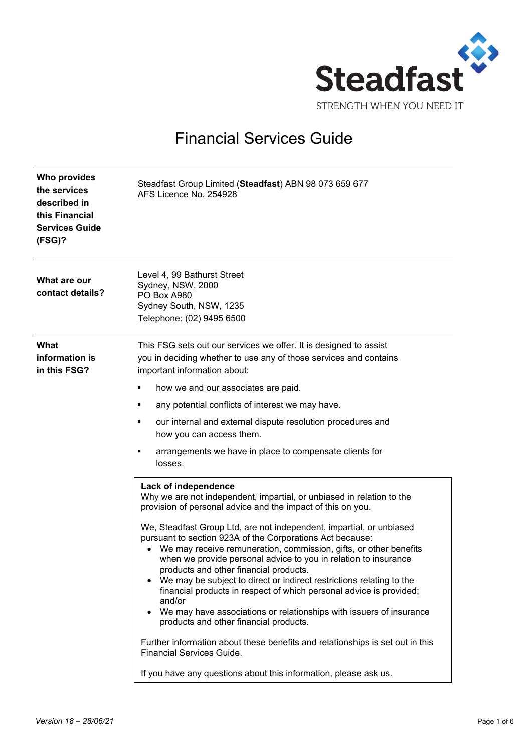

## Financial Services Guide

| <b>Who provides</b><br>the services<br>described in<br>this Financial<br><b>Services Guide</b><br>(FSG)? | Steadfast Group Limited (Steadfast) ABN 98 073 659 677<br>AFS Licence No. 254928                                                                                                                                                                                                                                                                                                                                                                                                                                                                                                                           |
|----------------------------------------------------------------------------------------------------------|------------------------------------------------------------------------------------------------------------------------------------------------------------------------------------------------------------------------------------------------------------------------------------------------------------------------------------------------------------------------------------------------------------------------------------------------------------------------------------------------------------------------------------------------------------------------------------------------------------|
| What are our<br>contact details?                                                                         | Level 4, 99 Bathurst Street<br>Sydney, NSW, 2000<br>PO Box A980<br>Sydney South, NSW, 1235<br>Telephone: (02) 9495 6500                                                                                                                                                                                                                                                                                                                                                                                                                                                                                    |
| What<br>information is<br>in this FSG?                                                                   | This FSG sets out our services we offer. It is designed to assist<br>you in deciding whether to use any of those services and contains<br>important information about:                                                                                                                                                                                                                                                                                                                                                                                                                                     |
|                                                                                                          | how we and our associates are paid.                                                                                                                                                                                                                                                                                                                                                                                                                                                                                                                                                                        |
|                                                                                                          | any potential conflicts of interest we may have.                                                                                                                                                                                                                                                                                                                                                                                                                                                                                                                                                           |
|                                                                                                          | our internal and external dispute resolution procedures and<br>٠<br>how you can access them.                                                                                                                                                                                                                                                                                                                                                                                                                                                                                                               |
|                                                                                                          | arrangements we have in place to compensate clients for<br>losses.                                                                                                                                                                                                                                                                                                                                                                                                                                                                                                                                         |
|                                                                                                          | Lack of independence<br>Why we are not independent, impartial, or unbiased in relation to the<br>provision of personal advice and the impact of this on you.                                                                                                                                                                                                                                                                                                                                                                                                                                               |
|                                                                                                          | We, Steadfast Group Ltd, are not independent, impartial, or unbiased<br>pursuant to section 923A of the Corporations Act because:<br>We may receive remuneration, commission, gifts, or other benefits<br>$\bullet$<br>when we provide personal advice to you in relation to insurance<br>products and other financial products.<br>We may be subject to direct or indirect restrictions relating to the<br>financial products in respect of which personal advice is provided;<br>and/or<br>We may have associations or relationships with issuers of insurance<br>products and other financial products. |
|                                                                                                          | Further information about these benefits and relationships is set out in this<br>Financial Services Guide.                                                                                                                                                                                                                                                                                                                                                                                                                                                                                                 |
|                                                                                                          | If you have any questions about this information, please ask us.                                                                                                                                                                                                                                                                                                                                                                                                                                                                                                                                           |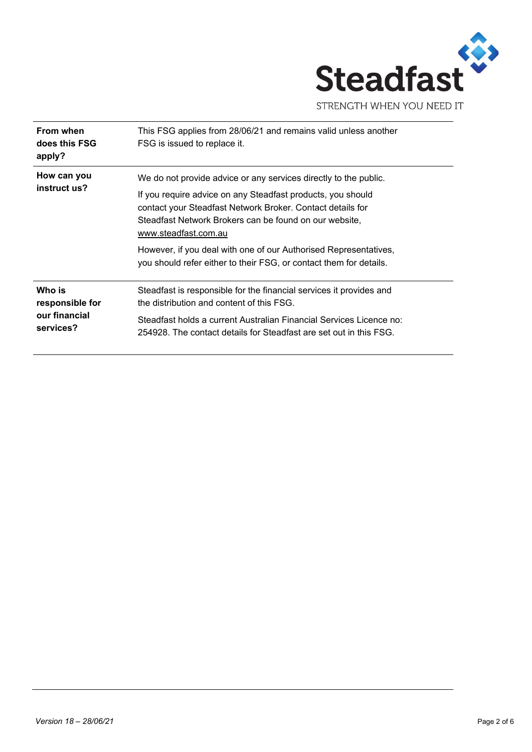

| From when<br>does this FSG<br>apply?                    | This FSG applies from 28/06/21 and remains valid unless another<br>FSG is issued to replace it.                                                                                                                                                                                                                                                                                                                           |
|---------------------------------------------------------|---------------------------------------------------------------------------------------------------------------------------------------------------------------------------------------------------------------------------------------------------------------------------------------------------------------------------------------------------------------------------------------------------------------------------|
| How can you<br>instruct us?                             | We do not provide advice or any services directly to the public.<br>If you require advice on any Steadfast products, you should<br>contact your Steadfast Network Broker. Contact details for<br>Steadfast Network Brokers can be found on our website,<br>www.steadfast.com.au<br>However, if you deal with one of our Authorised Representatives,<br>you should refer either to their FSG, or contact them for details. |
| Who is<br>responsible for<br>our financial<br>services? | Steadfast is responsible for the financial services it provides and<br>the distribution and content of this FSG.<br>Steadfast holds a current Australian Financial Services Licence no:<br>254928. The contact details for Steadfast are set out in this FSG.                                                                                                                                                             |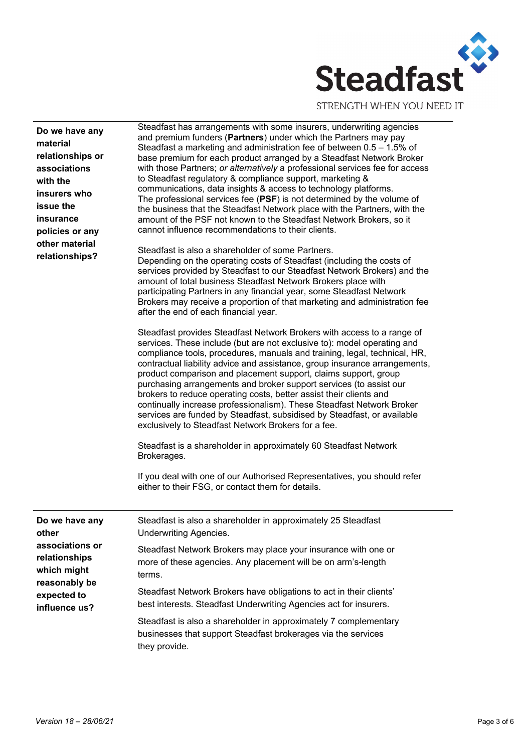

STRENGTH WHEN YOU NEED IT

| Do we have any<br>material<br>relationships or<br>associations<br>with the<br>insurers who<br>issue the<br>insurance<br>policies or any<br>other material<br>relationships? | Steadfast has arrangements with some insurers, underwriting agencies<br>and premium funders (Partners) under which the Partners may pay<br>Steadfast a marketing and administration fee of between $0.5 - 1.5\%$ of<br>base premium for each product arranged by a Steadfast Network Broker<br>with those Partners; or alternatively a professional services fee for access<br>to Steadfast regulatory & compliance support, marketing &<br>communications, data insights & access to technology platforms.<br>The professional services fee (PSF) is not determined by the volume of<br>the business that the Steadfast Network place with the Partners, with the<br>amount of the PSF not known to the Steadfast Network Brokers, so it<br>cannot influence recommendations to their clients. |
|-----------------------------------------------------------------------------------------------------------------------------------------------------------------------------|-------------------------------------------------------------------------------------------------------------------------------------------------------------------------------------------------------------------------------------------------------------------------------------------------------------------------------------------------------------------------------------------------------------------------------------------------------------------------------------------------------------------------------------------------------------------------------------------------------------------------------------------------------------------------------------------------------------------------------------------------------------------------------------------------|
|                                                                                                                                                                             | Steadfast is also a shareholder of some Partners.<br>Depending on the operating costs of Steadfast (including the costs of<br>services provided by Steadfast to our Steadfast Network Brokers) and the<br>amount of total business Steadfast Network Brokers place with<br>participating Partners in any financial year, some Steadfast Network<br>Brokers may receive a proportion of that marketing and administration fee<br>after the end of each financial year.                                                                                                                                                                                                                                                                                                                           |
|                                                                                                                                                                             | Steadfast provides Steadfast Network Brokers with access to a range of<br>services. These include (but are not exclusive to): model operating and<br>compliance tools, procedures, manuals and training, legal, technical, HR,<br>contractual liability advice and assistance, group insurance arrangements,<br>product comparison and placement support, claims support, group<br>purchasing arrangements and broker support services (to assist our<br>brokers to reduce operating costs, better assist their clients and<br>continually increase professionalism). These Steadfast Network Broker<br>services are funded by Steadfast, subsidised by Steadfast, or available<br>exclusively to Steadfast Network Brokers for a fee.                                                          |
|                                                                                                                                                                             | Steadfast is a shareholder in approximately 60 Steadfast Network<br>Brokerages.                                                                                                                                                                                                                                                                                                                                                                                                                                                                                                                                                                                                                                                                                                                 |
|                                                                                                                                                                             | If you deal with one of our Authorised Representatives, you should refer<br>either to their FSG, or contact them for details.                                                                                                                                                                                                                                                                                                                                                                                                                                                                                                                                                                                                                                                                   |
| Do we have any<br>other<br>associations or<br>relationships<br>which might<br>reasonably be<br>expected to<br>influence us?                                                 | Steadfast is also a shareholder in approximately 25 Steadfast<br><b>Underwriting Agencies.</b>                                                                                                                                                                                                                                                                                                                                                                                                                                                                                                                                                                                                                                                                                                  |
|                                                                                                                                                                             | Steadfast Network Brokers may place your insurance with one or<br>more of these agencies. Any placement will be on arm's-length<br>terms.                                                                                                                                                                                                                                                                                                                                                                                                                                                                                                                                                                                                                                                       |
|                                                                                                                                                                             | Steadfast Network Brokers have obligations to act in their clients'<br>best interests. Steadfast Underwriting Agencies act for insurers.                                                                                                                                                                                                                                                                                                                                                                                                                                                                                                                                                                                                                                                        |
|                                                                                                                                                                             | Steadfast is also a shareholder in approximately 7 complementary<br>businesses that support Steadfast brokerages via the services<br>they provide.                                                                                                                                                                                                                                                                                                                                                                                                                                                                                                                                                                                                                                              |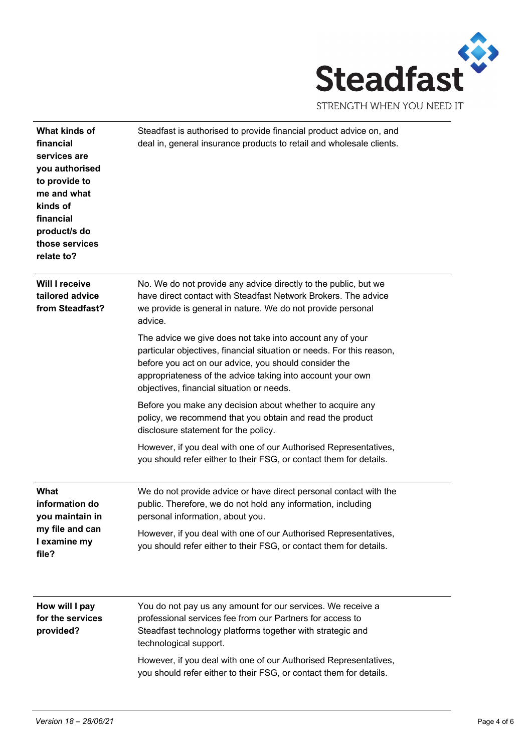

| What kinds of<br>financial<br>services are<br>you authorised<br>to provide to<br>me and what<br>kinds of<br>financial<br>product/s do<br>those services<br>relate to? | Steadfast is authorised to provide financial product advice on, and<br>deal in, general insurance products to retail and wholesale clients.                                                                                                                                                            |
|-----------------------------------------------------------------------------------------------------------------------------------------------------------------------|--------------------------------------------------------------------------------------------------------------------------------------------------------------------------------------------------------------------------------------------------------------------------------------------------------|
| <b>Will I receive</b><br>tailored advice<br>from Steadfast?                                                                                                           | No. We do not provide any advice directly to the public, but we<br>have direct contact with Steadfast Network Brokers. The advice<br>we provide is general in nature. We do not provide personal<br>advice.                                                                                            |
|                                                                                                                                                                       | The advice we give does not take into account any of your<br>particular objectives, financial situation or needs. For this reason,<br>before you act on our advice, you should consider the<br>appropriateness of the advice taking into account your own<br>objectives, financial situation or needs. |
|                                                                                                                                                                       | Before you make any decision about whether to acquire any<br>policy, we recommend that you obtain and read the product<br>disclosure statement for the policy.                                                                                                                                         |
|                                                                                                                                                                       | However, if you deal with one of our Authorised Representatives,<br>you should refer either to their FSG, or contact them for details.                                                                                                                                                                 |
| What<br>information do<br>vou maintain in<br>my file and can<br>I examine my<br>file?                                                                                 | We do not provide advice or have direct personal contact with the<br>public. Therefore, we do not hold any information, including<br>personal information, about you.                                                                                                                                  |
|                                                                                                                                                                       | However, if you deal with one of our Authorised Representatives,<br>you should refer either to their FSG, or contact them for details.                                                                                                                                                                 |
| How will I pay<br>for the services<br>provided?                                                                                                                       | You do not pay us any amount for our services. We receive a<br>professional services fee from our Partners for access to<br>Steadfast technology platforms together with strategic and<br>technological support.                                                                                       |
|                                                                                                                                                                       | However, if you deal with one of our Authorised Representatives,<br>you should refer either to their FSG, or contact them for details.                                                                                                                                                                 |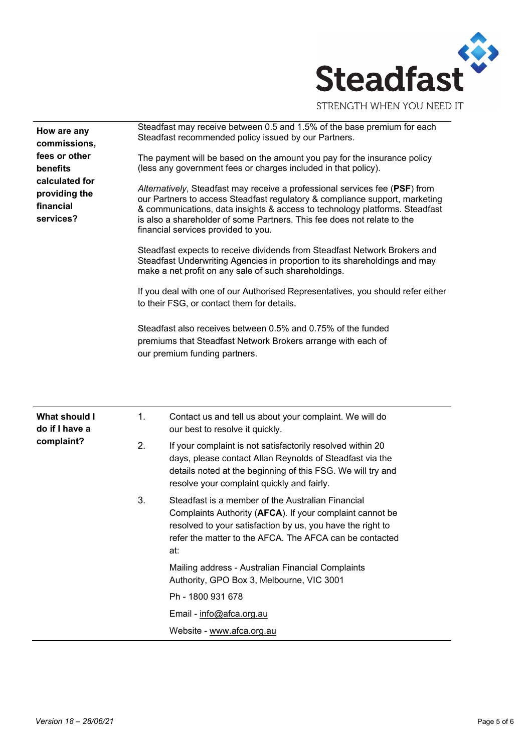

| Steadfast may receive between 0.5 and 1.5% of the base premium for each<br>How are any<br>Steadfast recommended policy issued by our Partners.<br>commissions,<br>fees or other<br>The payment will be based on the amount you pay for the insurance policy<br>(less any government fees or charges included in that policy).<br>benefits<br>calculated for<br>Alternatively, Steadfast may receive a professional services fee (PSF) from<br>providing the<br>our Partners to access Steadfast regulatory & compliance support, marketing<br>financial<br>& communications, data insights & access to technology platforms. Steadfast<br>services?<br>is also a shareholder of some Partners. This fee does not relate to the<br>financial services provided to you.<br>Steadfast expects to receive dividends from Steadfast Network Brokers and<br>Steadfast Underwriting Agencies in proportion to its shareholdings and may<br>make a net profit on any sale of such shareholdings.<br>to their FSG, or contact them for details.<br>Steadfast also receives between 0.5% and 0.75% of the funded<br>premiums that Steadfast Network Brokers arrange with each of<br>our premium funding partners.<br>1.<br><b>What should I</b><br>Contact us and tell us about your complaint. We will do<br>do if I have a<br>our best to resolve it quickly.<br>complaint?<br>2.<br>If your complaint is not satisfactorily resolved within 20<br>days, please contact Allan Reynolds of Steadfast via the<br>details noted at the beginning of this FSG. We will try and<br>resolve your complaint quickly and fairly. |  |                                                                                                |  |  |  |
|------------------------------------------------------------------------------------------------------------------------------------------------------------------------------------------------------------------------------------------------------------------------------------------------------------------------------------------------------------------------------------------------------------------------------------------------------------------------------------------------------------------------------------------------------------------------------------------------------------------------------------------------------------------------------------------------------------------------------------------------------------------------------------------------------------------------------------------------------------------------------------------------------------------------------------------------------------------------------------------------------------------------------------------------------------------------------------------------------------------------------------------------------------------------------------------------------------------------------------------------------------------------------------------------------------------------------------------------------------------------------------------------------------------------------------------------------------------------------------------------------------------------------------------------------------------------------------------------------------------|--|------------------------------------------------------------------------------------------------|--|--|--|
|                                                                                                                                                                                                                                                                                                                                                                                                                                                                                                                                                                                                                                                                                                                                                                                                                                                                                                                                                                                                                                                                                                                                                                                                                                                                                                                                                                                                                                                                                                                                                                                                                  |  |                                                                                                |  |  |  |
|                                                                                                                                                                                                                                                                                                                                                                                                                                                                                                                                                                                                                                                                                                                                                                                                                                                                                                                                                                                                                                                                                                                                                                                                                                                                                                                                                                                                                                                                                                                                                                                                                  |  |                                                                                                |  |  |  |
|                                                                                                                                                                                                                                                                                                                                                                                                                                                                                                                                                                                                                                                                                                                                                                                                                                                                                                                                                                                                                                                                                                                                                                                                                                                                                                                                                                                                                                                                                                                                                                                                                  |  |                                                                                                |  |  |  |
|                                                                                                                                                                                                                                                                                                                                                                                                                                                                                                                                                                                                                                                                                                                                                                                                                                                                                                                                                                                                                                                                                                                                                                                                                                                                                                                                                                                                                                                                                                                                                                                                                  |  |                                                                                                |  |  |  |
|                                                                                                                                                                                                                                                                                                                                                                                                                                                                                                                                                                                                                                                                                                                                                                                                                                                                                                                                                                                                                                                                                                                                                                                                                                                                                                                                                                                                                                                                                                                                                                                                                  |  | If you deal with one of our Authorised Representatives, you should refer either                |  |  |  |
|                                                                                                                                                                                                                                                                                                                                                                                                                                                                                                                                                                                                                                                                                                                                                                                                                                                                                                                                                                                                                                                                                                                                                                                                                                                                                                                                                                                                                                                                                                                                                                                                                  |  |                                                                                                |  |  |  |
|                                                                                                                                                                                                                                                                                                                                                                                                                                                                                                                                                                                                                                                                                                                                                                                                                                                                                                                                                                                                                                                                                                                                                                                                                                                                                                                                                                                                                                                                                                                                                                                                                  |  |                                                                                                |  |  |  |
|                                                                                                                                                                                                                                                                                                                                                                                                                                                                                                                                                                                                                                                                                                                                                                                                                                                                                                                                                                                                                                                                                                                                                                                                                                                                                                                                                                                                                                                                                                                                                                                                                  |  |                                                                                                |  |  |  |
|                                                                                                                                                                                                                                                                                                                                                                                                                                                                                                                                                                                                                                                                                                                                                                                                                                                                                                                                                                                                                                                                                                                                                                                                                                                                                                                                                                                                                                                                                                                                                                                                                  |  |                                                                                                |  |  |  |
| Complaints Authority (AFCA). If your complaint cannot be<br>resolved to your satisfaction by us, you have the right to<br>refer the matter to the AFCA. The AFCA can be contacted<br>at:                                                                                                                                                                                                                                                                                                                                                                                                                                                                                                                                                                                                                                                                                                                                                                                                                                                                                                                                                                                                                                                                                                                                                                                                                                                                                                                                                                                                                         |  | 3.<br>Steadfast is a member of the Australian Financial                                        |  |  |  |
|                                                                                                                                                                                                                                                                                                                                                                                                                                                                                                                                                                                                                                                                                                                                                                                                                                                                                                                                                                                                                                                                                                                                                                                                                                                                                                                                                                                                                                                                                                                                                                                                                  |  | Mailing address - Australian Financial Complaints<br>Authority, GPO Box 3, Melbourne, VIC 3001 |  |  |  |
|                                                                                                                                                                                                                                                                                                                                                                                                                                                                                                                                                                                                                                                                                                                                                                                                                                                                                                                                                                                                                                                                                                                                                                                                                                                                                                                                                                                                                                                                                                                                                                                                                  |  | Ph - 1800 931 678                                                                              |  |  |  |
|                                                                                                                                                                                                                                                                                                                                                                                                                                                                                                                                                                                                                                                                                                                                                                                                                                                                                                                                                                                                                                                                                                                                                                                                                                                                                                                                                                                                                                                                                                                                                                                                                  |  | Email - info@afca.org.au                                                                       |  |  |  |
|                                                                                                                                                                                                                                                                                                                                                                                                                                                                                                                                                                                                                                                                                                                                                                                                                                                                                                                                                                                                                                                                                                                                                                                                                                                                                                                                                                                                                                                                                                                                                                                                                  |  |                                                                                                |  |  |  |